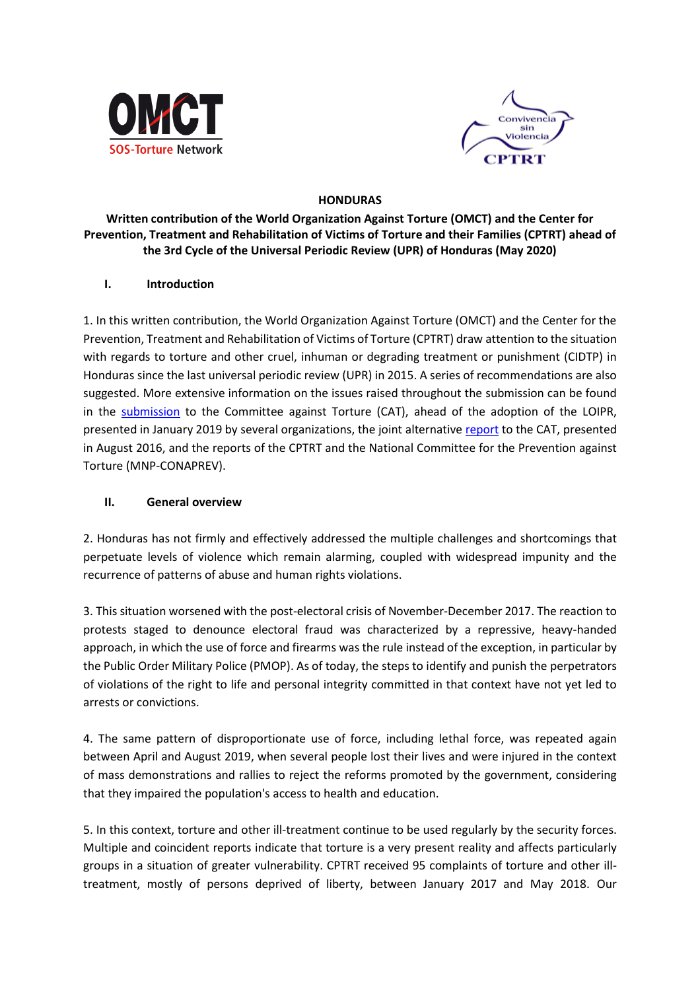



### **HONDURAS**

### **Written contribution of the World Organization Against Torture (OMCT) and the Center for Prevention, Treatment and Rehabilitation of Victims of Torture and their Families (CPTRT) ahead of the 3rd Cycle of the Universal Periodic Review (UPR) of Honduras (May 2020)**

### **I. Introduction**

1. In this written contribution, the World Organization Against Torture (OMCT) and the Center for the Prevention, Treatment and Rehabilitation of Victims of Torture (CPTRT) draw attention to the situation with regards to torture and other cruel, inhuman or degrading treatment or punishment (CIDTP) in Honduras since the last universal periodic review (UPR) in 2015. A series of recommendations are also suggested. More extensive information on the issues raised throughout the submission can be found in the [submission](https://www.omct.org/es/monitoring-protection-mechanisms/reports-and-publications/honduras/2019/01/d25421/) to the Committee against Torture (CAT), ahead of the adoption of the LOIPR, presented in January 2019 by several organizations, the joint alternativ[e report](https://www.omct.org/files/2016/07/23875/informe_alternativo_honduras_cat_e.pdf) to the CAT, presented in August 2016, and the reports of the CPTRT and the National Committee for the Prevention against Torture (MNP-CONAPREV).

### **II. General overview**

2. Honduras has not firmly and effectively addressed the multiple challenges and shortcomings that perpetuate levels of violence which remain alarming, coupled with widespread impunity and the recurrence of patterns of abuse and human rights violations.

3. This situation worsened with the post-electoral crisis of November-December 2017. The reaction to protests staged to denounce electoral fraud was characterized by a repressive, heavy-handed approach, in which the use of force and firearms was the rule instead of the exception, in particular by the Public Order Military Police (PMOP). As of today, the steps to identify and punish the perpetrators of violations of the right to life and personal integrity committed in that context have not yet led to arrests or convictions.

4. The same pattern of disproportionate use of force, including lethal force, was repeated again between April and August 2019, when several people lost their lives and were injured in the context of mass demonstrations and rallies to reject the reforms promoted by the government, considering that they impaired the population's access to health and education.

5. In this context, torture and other ill-treatment continue to be used regularly by the security forces. Multiple and coincident reports indicate that torture is a very present reality and affects particularly groups in a situation of greater vulnerability. CPTRT received 95 complaints of torture and other illtreatment, mostly of persons deprived of liberty, between January 2017 and May 2018. Our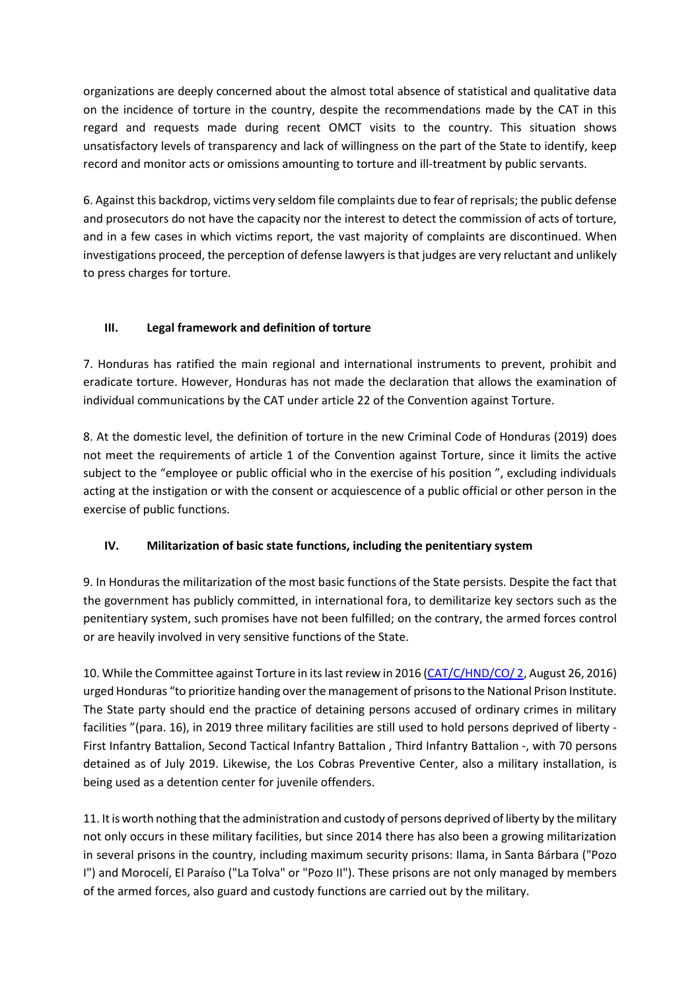organizations are deeply concerned about the almost total absence of statistical and qualitative data on the incidence of torture in the country, despite the recommendations made by the CAT in this regard and requests made during recent OMCT visits to the country. This situation shows unsatisfactory levels of transparency and lack of willingness on the part of the State to identify, keep record and monitor acts or omissions amounting to torture and ill-treatment by public servants.

6. Against this backdrop, victims very seldom file complaints due to fear of reprisals; the public defense and prosecutors do not have the capacity nor the interest to detect the commission of acts of torture, and in a few cases in which victims report, the vast majority of complaints are discontinued. When investigations proceed, the perception of defense lawyers is that judges are very reluctant and unlikely to press charges for torture.

## **III. Legal framework and definition of torture**

7. Honduras has ratified the main regional and international instruments to prevent, prohibit and eradicate torture. However, Honduras has not made the declaration that allows the examination of individual communications by the CAT under article 22 of the Convention against Torture.

8. At the domestic level, the definition of torture in the new Criminal Code of Honduras (2019) does not meet the requirements of article 1 of the Convention against Torture, since it limits the active subject to the "employee or public official who in the exercise of his position ", excluding individuals acting at the instigation or with the consent or acquiescence of a public official or other person in the exercise of public functions.

# **IV. Militarization of basic state functions, including the penitentiary system**

9. In Honduras the militarization of the most basic functions of the State persists. Despite the fact that the government has publicly committed, in international fora, to demilitarize key sectors such as the penitentiary system, such promises have not been fulfilled; on the contrary, the armed forces control or are heavily involved in very sensitive functions of the State.

10. While the Committee against Torture in its last review in 2016 [\(CAT/C/HND/CO/ 2,](https://tbinternet.ohchr.org/_layouts/15/treatybodyexternal/Download.aspx?symbolno=CAT%2fC%2fHND%2fCO%2f2&Lang=en) August 26, 2016) urged Honduras "to prioritize handing over the management of prisons to the National Prison Institute. The State party should end the practice of detaining persons accused of ordinary crimes in military facilities "(para. 16), in 2019 three military facilities are still used to hold persons deprived of liberty - First Infantry Battalion, Second Tactical Infantry Battalion , Third Infantry Battalion -, with 70 persons detained as of July 2019. Likewise, the Los Cobras Preventive Center, also a military installation, is being used as a detention center for juvenile offenders.

11. It is worth nothing that the administration and custody of persons deprived of liberty by the military not only occurs in these military facilities, but since 2014 there has also been a growing militarization in several prisons in the country, including maximum security prisons: Ilama, in Santa Bárbara ("Pozo I") and Morocelí, El Paraíso ("La Tolva" or "Pozo II"). These prisons are not only managed by members of the armed forces, also guard and custody functions are carried out by the military.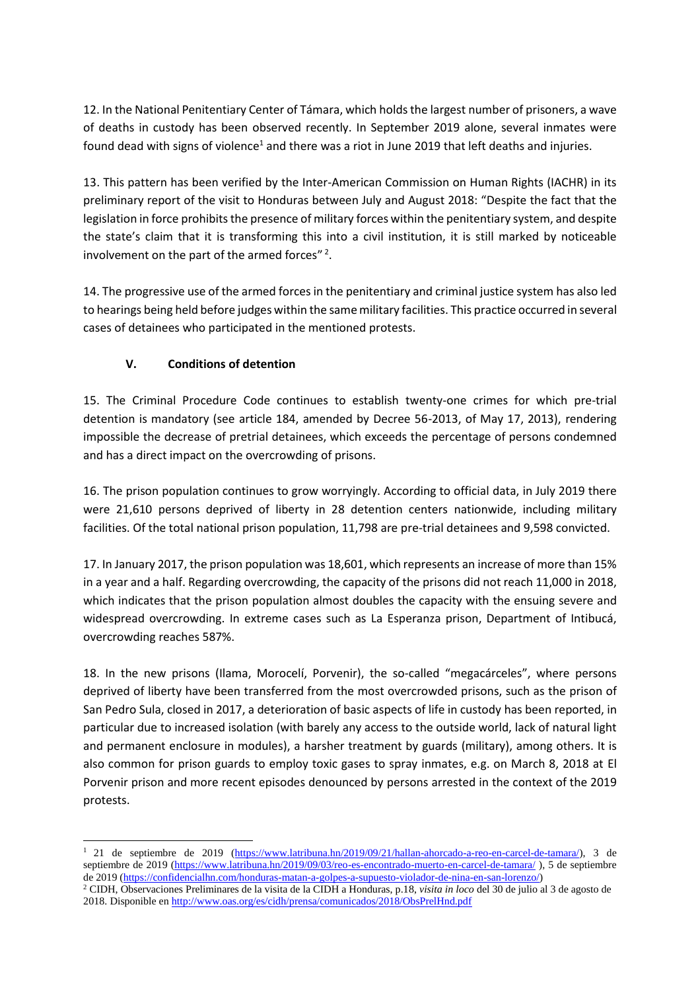12. In the National Penitentiary Center of Támara, which holds the largest number of prisoners, a wave of deaths in custody has been observed recently. In September 2019 alone, several inmates were found dead with signs of violence<sup>1</sup> and there was a riot in June 2019 that left deaths and injuries.

13. This pattern has been verified by the Inter-American Commission on Human Rights (IACHR) in its preliminary report of the visit to Honduras between July and August 2018: "Despite the fact that the legislation in force prohibits the presence of military forces within the penitentiary system, and despite the state's claim that it is transforming this into a civil institution, it is still marked by noticeable involvement on the part of the armed forces"  $2$ .

14. The progressive use of the armed forces in the penitentiary and criminal justice system has also led to hearings being held before judges within the same military facilities. This practice occurred in several cases of detainees who participated in the mentioned protests.

## **V. Conditions of detention**

15. The Criminal Procedure Code continues to establish twenty-one crimes for which pre-trial detention is mandatory (see article 184, amended by Decree 56-2013, of May 17, 2013), rendering impossible the decrease of pretrial detainees, which exceeds the percentage of persons condemned and has a direct impact on the overcrowding of prisons.

16. The prison population continues to grow worryingly. According to official data, in July 2019 there were 21,610 persons deprived of liberty in 28 detention centers nationwide, including military facilities. Of the total national prison population, 11,798 are pre-trial detainees and 9,598 convicted.

17. In January 2017, the prison population was 18,601, which represents an increase of more than 15% in a year and a half. Regarding overcrowding, the capacity of the prisons did not reach 11,000 in 2018, which indicates that the prison population almost doubles the capacity with the ensuing severe and widespread overcrowding. In extreme cases such as La Esperanza prison, Department of Intibucá, overcrowding reaches 587%.

18. In the new prisons (Ilama, Morocelí, Porvenir), the so-called "megacárceles", where persons deprived of liberty have been transferred from the most overcrowded prisons, such as the prison of San Pedro Sula, closed in 2017, a deterioration of basic aspects of life in custody has been reported, in particular due to increased isolation (with barely any access to the outside world, lack of natural light and permanent enclosure in modules), a harsher treatment by guards (military), among others. It is also common for prison guards to employ toxic gases to spray inmates, e.g. on March 8, 2018 at El Porvenir prison and more recent episodes denounced by persons arrested in the context of the 2019 protests.

 $\overline{a}$ <sup>1</sup> 21 de septiembre de 2019 [\(https://www.latribuna.hn/2019/09/21/hallan-ahorcado-a-reo-en-carcel-de-tamara/\)](https://www.latribuna.hn/2019/09/21/hallan-ahorcado-a-reo-en-carcel-de-tamara/), 3 de septiembre de 2019 [\(https://www.latribuna.hn/2019/09/03/reo-es-encontrado-muerto-en-carcel-de-tamara/](https://www.latribuna.hn/2019/09/03/reo-es-encontrado-muerto-en-carcel-de-tamara/)), 5 de septiembre de 2019 [\(https://confidencialhn.com/honduras-matan-a-golpes-a-supuesto-violador-de-nina-en-san-lorenzo/\)](https://confidencialhn.com/honduras-matan-a-golpes-a-supuesto-violador-de-nina-en-san-lorenzo/)

<sup>2</sup> CIDH, Observaciones Preliminares de la visita de la CIDH a Honduras, p.18, *visita in loco* del 30 de julio al 3 de agosto de 2018. Disponible en<http://www.oas.org/es/cidh/prensa/comunicados/2018/ObsPrelHnd.pdf>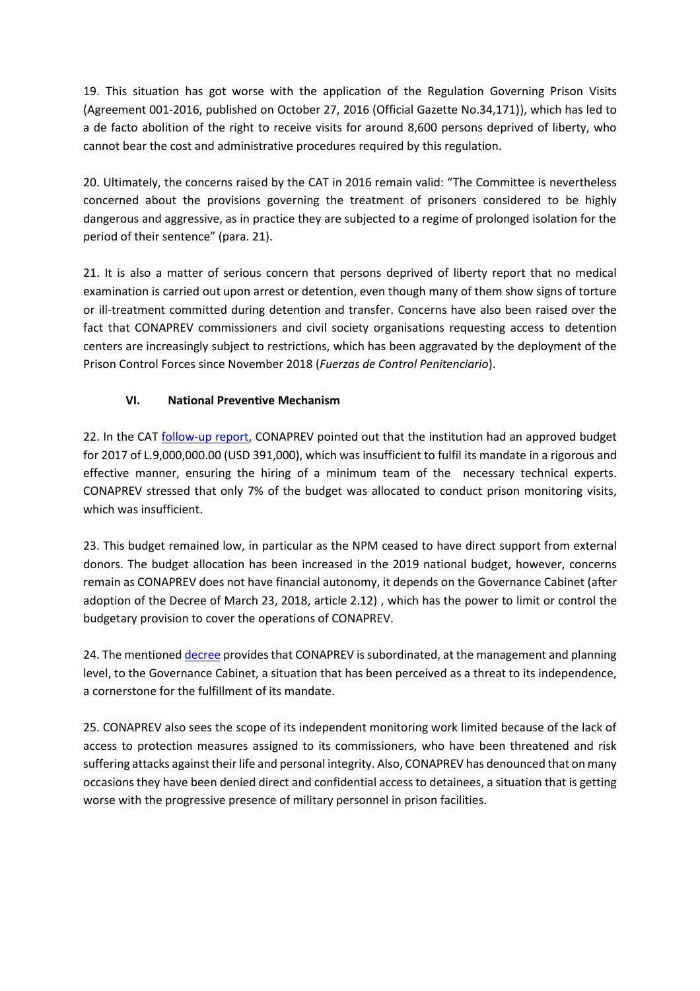19. This situation has got worse with the application of the Regulation Governing Prison Visits (Agreement 001-2016, published on October 27, 2016 (Official Gazette No.34,171)), which has led to a de facto abolition of the right to receive visits for around 8,600 persons deprived of liberty, who cannot bear the cost and administrative procedures required by this regulation.

20. Ultimately, the concerns raised by the CAT in 2016 remain valid: "The Committee is nevertheless concerned about the provisions governing the treatment of prisoners considered to be highly dangerous and aggressive, as in practice they are subjected to a regime of prolonged isolation for the period of their sentence" (para. 21).

21. It is also a matter of serious concern that persons deprived of liberty report that no medical examination is carried out upon arrest or detention, even though many of them show signs of torture or ill-treatment committed during detention and transfer. Concerns have also been raised over the fact that CONAPREV commissioners and civil society organisations requesting access to detention centers are increasingly subject to restrictions, which has been aggravated by the deployment of the Prison Control Forces since November 2018 (*Fuerzas de Control Penitenciario*).

## **VI. National Preventive Mechanism**

22. In the CAT [follow-up report,](https://tbinternet.ohchr.org/_layouts/15/treatybodyexternal/Download.aspx?symbolno=INT%2fCAT%2fNGS%2fHND%2f29863&Lang=en) CONAPREV pointed out that the institution had an approved budget for 2017 of L.9,000,000.00 (USD 391,000), which was insufficient to fulfil its mandate in a rigorous and effective manner, ensuring the hiring of a minimum team of the necessary technical experts. CONAPREV stressed that only 7% of the budget was allocated to conduct prison monitoring visits, which was insufficient.

23. This budget remained low, in particular as the NPM ceased to have direct support from external donors. The budget allocation has been increased in the 2019 national budget, however, concerns remain as CONAPREV does not have financial autonomy, it depends on the Governance Cabinet (after adoption of the Decree of March 23, 2018, article 2.12) , which has the power to limit or control the budgetary provision to cover the operations of CONAPREV.

24. The mentioned [decree](http://ceniss.gob.hn/MarcoLegal/23-DE%20MARZO-2018-34.pdf) provides that CONAPREV is subordinated, at the management and planning level, to the Governance Cabinet, a situation that has been perceived as a threat to its independence, a cornerstone for the fulfillment of its mandate.

25. CONAPREV also sees the scope of its independent monitoring work limited because of the lack of access to protection measures assigned to its commissioners, who have been threatened and risk suffering attacks against their life and personal integrity. Also, CONAPREV has denounced that on many occasions they have been denied direct and confidential access to detainees, a situation that is getting worse with the progressive presence of military personnel in prison facilities.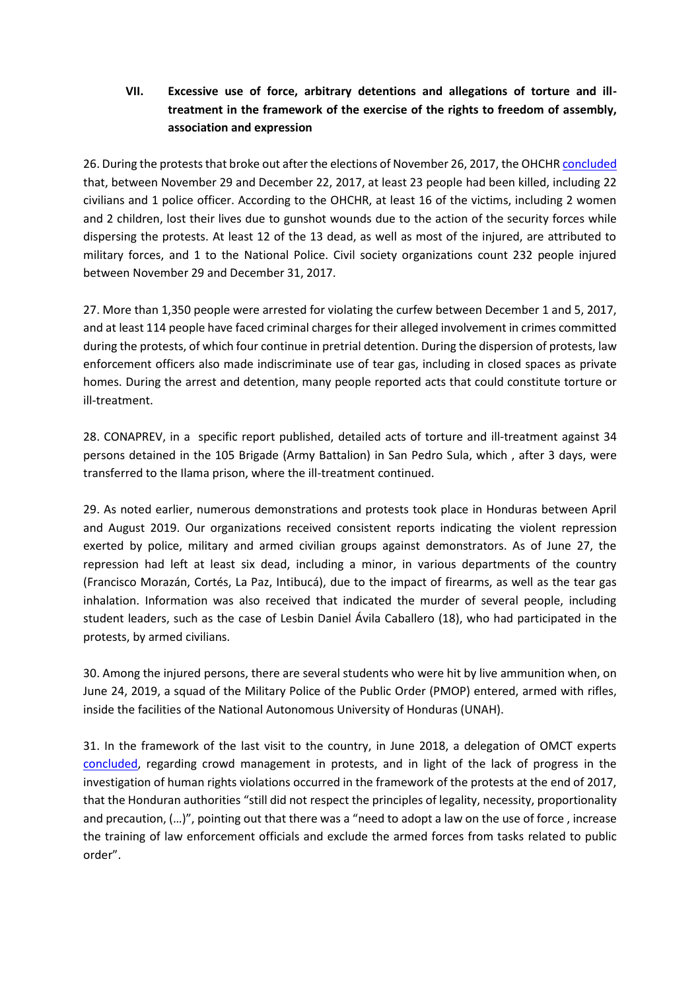## **VII. Excessive use of force, arbitrary detentions and allegations of torture and illtreatment in the framework of the exercise of the rights to freedom of assembly, association and expression**

26. During the protests that broke out after the elections of November 26, 2017, the OHCH[R concluded](https://www.ohchr.org/Documents/Countries/HN/2017ReportElectionsHRViolations_Honduras_EN.pdf) that, between November 29 and December 22, 2017, at least 23 people had been killed, including 22 civilians and 1 police officer. According to the OHCHR, at least 16 of the victims, including 2 women and 2 children, lost their lives due to gunshot wounds due to the action of the security forces while dispersing the protests. At least 12 of the 13 dead, as well as most of the injured, are attributed to military forces, and 1 to the National Police. Civil society organizations count 232 people injured between November 29 and December 31, 2017.

27. More than 1,350 people were arrested for violating the curfew between December 1 and 5, 2017, and at least 114 people have faced criminal charges for their alleged involvement in crimes committed during the protests, of which four continue in pretrial detention. During the dispersion of protests, law enforcement officers also made indiscriminate use of tear gas, including in closed spaces as private homes. During the arrest and detention, many people reported acts that could constitute torture or ill-treatment.

28. CONAPREV, in a specific report published, detailed acts of torture and ill-treatment against 34 persons detained in the 105 Brigade (Army Battalion) in San Pedro Sula, which , after 3 days, were transferred to the Ilama prison, where the ill-treatment continued.

29. As noted earlier, numerous demonstrations and protests took place in Honduras between April and August 2019. Our organizations received consistent reports indicating the violent repression exerted by police, military and armed civilian groups against demonstrators. As of June 27, the repression had left at least six dead, including a minor, in various departments of the country (Francisco Morazán, Cortés, La Paz, Intibucá), due to the impact of firearms, as well as the tear gas inhalation. Information was also received that indicated the murder of several people, including student leaders, such as the case of Lesbin Daniel Ávila Caballero (18), who had participated in the protests, by armed civilians.

30. Among the injured persons, there are several students who were hit by live ammunition when, on June 24, 2019, a squad of the Military Police of the Public Order (PMOP) entered, armed with rifles, inside the facilities of the National Autonomous University of Honduras (UNAH).

31. In the framework of the last visit to the country, in June 2018, a delegation of OMCT experts [concluded,](https://www.omct.org/es/monitoring-protection-mechanisms/statements/honduras/2018/06/d24945/) regarding crowd management in protests, and in light of the lack of progress in the investigation of human rights violations occurred in the framework of the protests at the end of 2017, that the Honduran authorities "still did not respect the principles of legality, necessity, proportionality and precaution, (…)", pointing out that there was a "need to adopt a law on the use of force , increase the training of law enforcement officials and exclude the armed forces from tasks related to public order".